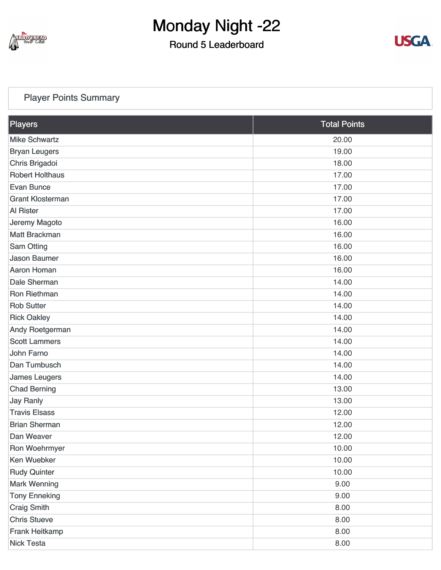

#### Round 5 Leaderboard



#### [Player Points Summary](https://static.golfgenius.com/v2tournaments/total_points?league_id=8103114973338674340&round_id=8103116676830078142)

| Players                 | <b>Total Points</b> |
|-------------------------|---------------------|
| <b>Mike Schwartz</b>    | 20.00               |
| <b>Bryan Leugers</b>    | 19.00               |
| Chris Brigadoi          | 18.00               |
| <b>Robert Holthaus</b>  | 17.00               |
| <b>Evan Bunce</b>       | 17.00               |
| <b>Grant Klosterman</b> | 17.00               |
| <b>Al Rister</b>        | 17.00               |
| Jeremy Magoto           | 16.00               |
| <b>Matt Brackman</b>    | 16.00               |
| <b>Sam Otting</b>       | 16.00               |
| <b>Jason Baumer</b>     | 16.00               |
| <b>Aaron Homan</b>      | 16.00               |
| Dale Sherman            | 14.00               |
| <b>Ron Riethman</b>     | 14.00               |
| <b>Rob Sutter</b>       | 14.00               |
| <b>Rick Oakley</b>      | 14.00               |
| Andy Roetgerman         | 14.00               |
| <b>Scott Lammers</b>    | 14.00               |
| John Farno              | 14.00               |
| Dan Tumbusch            | 14.00               |
| <b>James Leugers</b>    | 14.00               |
| <b>Chad Berning</b>     | 13.00               |
| <b>Jay Ranly</b>        | 13.00               |
| <b>Travis Elsass</b>    | 12.00               |
| <b>Brian Sherman</b>    | 12.00               |
| Dan Weaver              | 12.00               |
| Ron Woehrmyer           | 10.00               |
| <b>Ken Wuebker</b>      | 10.00               |
| <b>Rudy Quinter</b>     | 10.00               |
| <b>Mark Wenning</b>     | 9.00                |
| <b>Tony Enneking</b>    | 9.00                |
| <b>Craig Smith</b>      | 8.00                |
| <b>Chris Stueve</b>     | 8.00                |
| Frank Heitkamp          | 8.00                |
| <b>Nick Testa</b>       | 8.00                |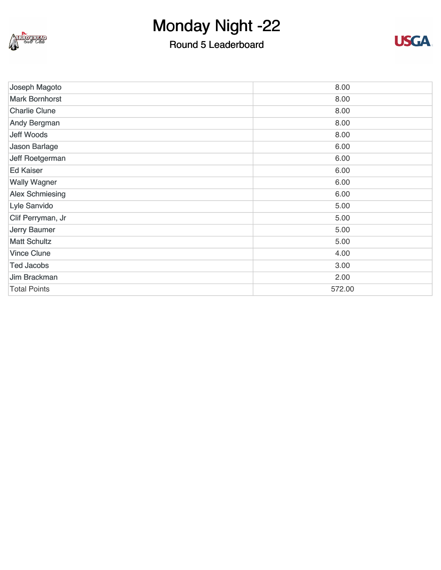

#### Round 5 Leaderboard



| Joseph Magoto          | 8.00   |
|------------------------|--------|
| <b>Mark Bornhorst</b>  | 8.00   |
| <b>Charlie Clune</b>   | 8.00   |
| <b>Andy Bergman</b>    | 8.00   |
| <b>Jeff Woods</b>      | 8.00   |
| Jason Barlage          | 6.00   |
| Jeff Roetgerman        | 6.00   |
| <b>Ed Kaiser</b>       | 6.00   |
| <b>Wally Wagner</b>    | 6.00   |
| <b>Alex Schmiesing</b> | 6.00   |
| Lyle Sanvido           | 5.00   |
| Clif Perryman, Jr      | 5.00   |
| <b>Jerry Baumer</b>    | 5.00   |
| <b>Matt Schultz</b>    | 5.00   |
| <b>Vince Clune</b>     | 4.00   |
| <b>Ted Jacobs</b>      | 3.00   |
| Jim Brackman           | 2.00   |
| <b>Total Points</b>    | 572.00 |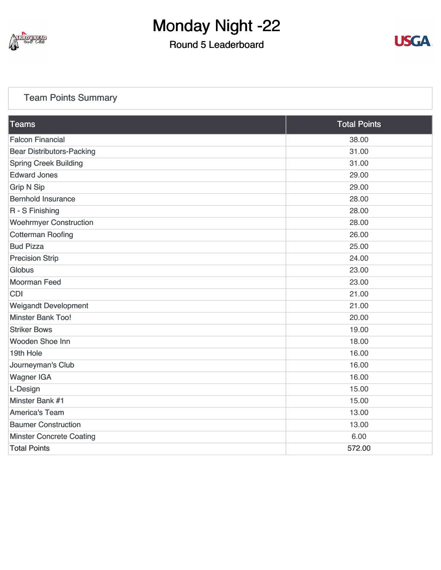

#### Round 5 Leaderboard



#### [Team Points Summary](https://static.golfgenius.com/v2tournaments/team_points?league_id=8103114973338674340&round_id=8103116676830078142)

| <b>Falcon Financial</b><br>38.00<br><b>Bear Distributors-Packing</b><br>31.00<br><b>Spring Creek Building</b><br>31.00<br><b>Edward Jones</b><br>29.00<br><b>Grip N Sip</b><br>29.00<br><b>Bernhold Insurance</b><br>28.00<br>R - S Finishing<br>28.00<br><b>Woehrmyer Construction</b><br>28.00<br><b>Cotterman Roofing</b><br>26.00<br><b>Bud Pizza</b><br>25.00<br><b>Precision Strip</b><br>24.00<br><b>Globus</b><br>23.00<br><b>Moorman Feed</b><br>23.00<br><b>CDI</b><br>21.00<br><b>Weigandt Development</b><br>21.00<br><b>Minster Bank Too!</b><br>20.00<br><b>Striker Bows</b><br>19.00<br>Wooden Shoe Inn<br>18.00<br>19th Hole<br>16.00<br>Journeyman's Club<br>16.00<br><b>Wagner IGA</b><br>16.00<br>15.00<br>L-Design<br>Minster Bank #1<br>15.00<br><b>America's Team</b><br>13.00 | <b>Teams</b>               | <b>Total Points</b> |
|------------------------------------------------------------------------------------------------------------------------------------------------------------------------------------------------------------------------------------------------------------------------------------------------------------------------------------------------------------------------------------------------------------------------------------------------------------------------------------------------------------------------------------------------------------------------------------------------------------------------------------------------------------------------------------------------------------------------------------------------------------------------------------------------------|----------------------------|---------------------|
|                                                                                                                                                                                                                                                                                                                                                                                                                                                                                                                                                                                                                                                                                                                                                                                                      |                            |                     |
|                                                                                                                                                                                                                                                                                                                                                                                                                                                                                                                                                                                                                                                                                                                                                                                                      |                            |                     |
|                                                                                                                                                                                                                                                                                                                                                                                                                                                                                                                                                                                                                                                                                                                                                                                                      |                            |                     |
|                                                                                                                                                                                                                                                                                                                                                                                                                                                                                                                                                                                                                                                                                                                                                                                                      |                            |                     |
|                                                                                                                                                                                                                                                                                                                                                                                                                                                                                                                                                                                                                                                                                                                                                                                                      |                            |                     |
|                                                                                                                                                                                                                                                                                                                                                                                                                                                                                                                                                                                                                                                                                                                                                                                                      |                            |                     |
|                                                                                                                                                                                                                                                                                                                                                                                                                                                                                                                                                                                                                                                                                                                                                                                                      |                            |                     |
|                                                                                                                                                                                                                                                                                                                                                                                                                                                                                                                                                                                                                                                                                                                                                                                                      |                            |                     |
|                                                                                                                                                                                                                                                                                                                                                                                                                                                                                                                                                                                                                                                                                                                                                                                                      |                            |                     |
|                                                                                                                                                                                                                                                                                                                                                                                                                                                                                                                                                                                                                                                                                                                                                                                                      |                            |                     |
|                                                                                                                                                                                                                                                                                                                                                                                                                                                                                                                                                                                                                                                                                                                                                                                                      |                            |                     |
|                                                                                                                                                                                                                                                                                                                                                                                                                                                                                                                                                                                                                                                                                                                                                                                                      |                            |                     |
|                                                                                                                                                                                                                                                                                                                                                                                                                                                                                                                                                                                                                                                                                                                                                                                                      |                            |                     |
|                                                                                                                                                                                                                                                                                                                                                                                                                                                                                                                                                                                                                                                                                                                                                                                                      |                            |                     |
|                                                                                                                                                                                                                                                                                                                                                                                                                                                                                                                                                                                                                                                                                                                                                                                                      |                            |                     |
|                                                                                                                                                                                                                                                                                                                                                                                                                                                                                                                                                                                                                                                                                                                                                                                                      |                            |                     |
|                                                                                                                                                                                                                                                                                                                                                                                                                                                                                                                                                                                                                                                                                                                                                                                                      |                            |                     |
|                                                                                                                                                                                                                                                                                                                                                                                                                                                                                                                                                                                                                                                                                                                                                                                                      |                            |                     |
|                                                                                                                                                                                                                                                                                                                                                                                                                                                                                                                                                                                                                                                                                                                                                                                                      |                            |                     |
|                                                                                                                                                                                                                                                                                                                                                                                                                                                                                                                                                                                                                                                                                                                                                                                                      |                            |                     |
|                                                                                                                                                                                                                                                                                                                                                                                                                                                                                                                                                                                                                                                                                                                                                                                                      |                            |                     |
|                                                                                                                                                                                                                                                                                                                                                                                                                                                                                                                                                                                                                                                                                                                                                                                                      |                            |                     |
|                                                                                                                                                                                                                                                                                                                                                                                                                                                                                                                                                                                                                                                                                                                                                                                                      |                            |                     |
|                                                                                                                                                                                                                                                                                                                                                                                                                                                                                                                                                                                                                                                                                                                                                                                                      |                            |                     |
|                                                                                                                                                                                                                                                                                                                                                                                                                                                                                                                                                                                                                                                                                                                                                                                                      | <b>Baumer Construction</b> | 13.00               |
| <b>Minster Concrete Coating</b><br>6.00                                                                                                                                                                                                                                                                                                                                                                                                                                                                                                                                                                                                                                                                                                                                                              |                            |                     |
| <b>Total Points</b><br>572.00                                                                                                                                                                                                                                                                                                                                                                                                                                                                                                                                                                                                                                                                                                                                                                        |                            |                     |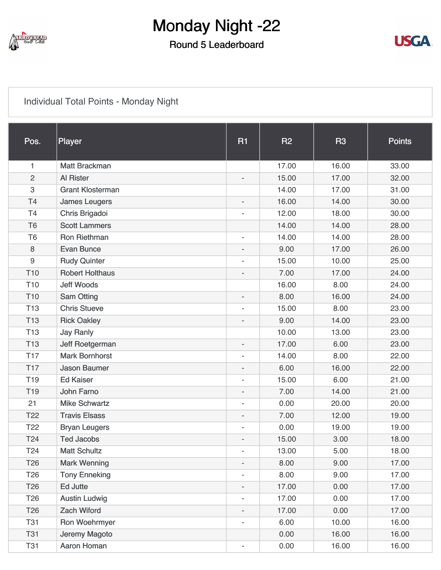

#### Round 5 Leaderboard



#### [Individual Total Points - Monday Night](https://static.golfgenius.com/v2tournaments/8103117376943301690?called_from=&round_index=5)

| Pos.            | Player                  | <b>R1</b>                | <b>R2</b> | <b>R3</b> | <b>Points</b> |
|-----------------|-------------------------|--------------------------|-----------|-----------|---------------|
|                 |                         |                          |           |           |               |
| 1               | <b>Matt Brackman</b>    |                          | 17.00     | 16.00     | 33.00         |
| $\overline{2}$  | <b>Al Rister</b>        | $\overline{a}$           | 15.00     | 17.00     | 32.00         |
| 3               | <b>Grant Klosterman</b> |                          | 14.00     | 17.00     | 31.00         |
| <b>T4</b>       | <b>James Leugers</b>    | $\overline{\phantom{a}}$ | 16.00     | 14.00     | 30.00         |
| T4              | Chris Brigadoi          |                          | 12.00     | 18.00     | 30.00         |
| T <sub>6</sub>  | <b>Scott Lammers</b>    |                          | 14.00     | 14.00     | 28.00         |
| T <sub>6</sub>  | <b>Ron Riethman</b>     | $\overline{\phantom{a}}$ | 14.00     | 14.00     | 28.00         |
| 8               | <b>Evan Bunce</b>       | $\overline{\phantom{a}}$ | 9.00      | 17.00     | 26.00         |
| $9\,$           | <b>Rudy Quinter</b>     | $\overline{\phantom{a}}$ | 15.00     | 10.00     | 25.00         |
| T <sub>10</sub> | <b>Robert Holthaus</b>  | $\overline{\phantom{0}}$ | 7.00      | 17.00     | 24.00         |
| T <sub>10</sub> | <b>Jeff Woods</b>       |                          | 16.00     | 8.00      | 24.00         |
| T <sub>10</sub> | <b>Sam Otting</b>       | $\overline{\phantom{a}}$ | 8.00      | 16.00     | 24.00         |
| T <sub>13</sub> | <b>Chris Stueve</b>     | $\overline{\phantom{a}}$ | 15.00     | 8.00      | 23.00         |
| <b>T13</b>      | <b>Rick Oakley</b>      | $\overline{a}$           | 9.00      | 14.00     | 23.00         |
| <b>T13</b>      | <b>Jay Ranly</b>        |                          | 10.00     | 13.00     | 23.00         |
| <b>T13</b>      | Jeff Roetgerman         | $\overline{\phantom{0}}$ | 17.00     | 6.00      | 23.00         |
| <b>T17</b>      | <b>Mark Bornhorst</b>   | $\overline{\phantom{a}}$ | 14.00     | 8.00      | 22.00         |
| <b>T17</b>      | <b>Jason Baumer</b>     | $\overline{a}$           | 6.00      | 16.00     | 22.00         |
| T <sub>19</sub> | <b>Ed Kaiser</b>        | L,                       | 15.00     | 6.00      | 21.00         |
| T <sub>19</sub> | John Farno              | $\overline{\phantom{a}}$ | 7.00      | 14.00     | 21.00         |
| 21              | <b>Mike Schwartz</b>    | $\overline{\phantom{a}}$ | 0.00      | 20.00     | 20.00         |
| T <sub>22</sub> | <b>Travis Elsass</b>    | $\overline{a}$           | 7.00      | 12.00     | 19.00         |
| T <sub>22</sub> | <b>Bryan Leugers</b>    | L,                       | 0.00      | 19.00     | 19.00         |
| T24             | <b>Ted Jacobs</b>       | $\overline{\phantom{0}}$ | 15.00     | 3.00      | 18.00         |
| T <sub>24</sub> | <b>Matt Schultz</b>     | $\overline{\phantom{a}}$ | 13.00     | 5.00      | 18.00         |
| T <sub>26</sub> | <b>Mark Wenning</b>     | $\overline{\phantom{0}}$ | 8.00      | 9.00      | 17.00         |
| T <sub>26</sub> | <b>Tony Enneking</b>    | $\overline{\phantom{0}}$ | 8.00      | 9.00      | 17.00         |
| T <sub>26</sub> | Ed Jutte                | $\overline{\phantom{0}}$ | 17.00     | 0.00      | 17.00         |
| T <sub>26</sub> | <b>Austin Ludwig</b>    | $\overline{\phantom{a}}$ | 17.00     | 0.00      | 17.00         |
| T <sub>26</sub> | <b>Zach Wiford</b>      | $\overline{\phantom{0}}$ | 17.00     | 0.00      | 17.00         |
| <b>T31</b>      | Ron Woehrmyer           | $\overline{\phantom{0}}$ | 6.00      | 10.00     | 16.00         |
| <b>T31</b>      | Jeremy Magoto           |                          | 0.00      | 16.00     | 16.00         |
| <b>T31</b>      | Aaron Homan             | $\overline{\phantom{a}}$ | 0.00      | 16.00     | 16.00         |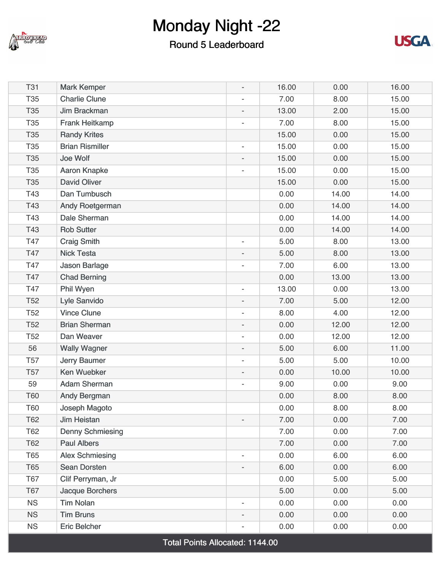

#### Round 5 Leaderboard



| <b>T31</b>      | <b>Mark Kemper</b>      | $\overline{\phantom{0}}$ | 16.00 | 0.00  | 16.00 |
|-----------------|-------------------------|--------------------------|-------|-------|-------|
| <b>T35</b>      | <b>Charlie Clune</b>    | $\overline{\phantom{a}}$ | 7.00  | 8.00  | 15.00 |
| T35             | Jim Brackman            | $\overline{\phantom{a}}$ | 13.00 | 2.00  | 15.00 |
| <b>T35</b>      | <b>Frank Heitkamp</b>   | $\overline{a}$           | 7.00  | 8.00  | 15.00 |
| <b>T35</b>      | <b>Randy Krites</b>     |                          | 15.00 | 0.00  | 15.00 |
| T35             | <b>Brian Rismiller</b>  | $\overline{\phantom{a}}$ | 15.00 | 0.00  | 15.00 |
| <b>T35</b>      | Joe Wolf                | $\overline{\phantom{a}}$ | 15.00 | 0.00  | 15.00 |
| <b>T35</b>      | <b>Aaron Knapke</b>     | $\overline{\phantom{0}}$ | 15.00 | 0.00  | 15.00 |
| <b>T35</b>      | <b>David Oliver</b>     |                          | 15.00 | 0.00  | 15.00 |
| T43             | Dan Tumbusch            |                          | 0.00  | 14.00 | 14.00 |
| T43             | Andy Roetgerman         |                          | 0.00  | 14.00 | 14.00 |
| T43             | Dale Sherman            |                          | 0.00  | 14.00 | 14.00 |
| T43             | <b>Rob Sutter</b>       |                          | 0.00  | 14.00 | 14.00 |
| T47             | <b>Craig Smith</b>      | $\overline{\phantom{a}}$ | 5.00  | 8.00  | 13.00 |
| T47             | <b>Nick Testa</b>       | $\overline{\phantom{a}}$ | 5.00  | 8.00  | 13.00 |
| T47             | Jason Barlage           | $\overline{\phantom{0}}$ | 7.00  | 6.00  | 13.00 |
| T47             | <b>Chad Berning</b>     |                          | 0.00  | 13.00 | 13.00 |
| T47             | Phil Wyen               | $\overline{\phantom{a}}$ | 13.00 | 0.00  | 13.00 |
| T <sub>52</sub> | Lyle Sanvido            | $\overline{\phantom{a}}$ | 7.00  | 5.00  | 12.00 |
| <b>T52</b>      | <b>Vince Clune</b>      | $\overline{\phantom{0}}$ | 8.00  | 4.00  | 12.00 |
| T <sub>52</sub> | <b>Brian Sherman</b>    | $\overline{\phantom{a}}$ | 0.00  | 12.00 | 12.00 |
| T <sub>52</sub> | Dan Weaver              | $\overline{\phantom{a}}$ | 0.00  | 12.00 | 12.00 |
| 56              | <b>Wally Wagner</b>     | $\overline{\phantom{a}}$ | 5.00  | 6.00  | 11.00 |
| <b>T57</b>      | <b>Jerry Baumer</b>     | $\overline{\phantom{a}}$ | 5.00  | 5.00  | 10.00 |
| <b>T57</b>      | Ken Wuebker             | $\overline{\phantom{0}}$ | 0.00  | 10.00 | 10.00 |
| 59              | <b>Adam Sherman</b>     | $\overline{\phantom{a}}$ | 9.00  | 0.00  | 9.00  |
| <b>T60</b>      | <b>Andy Bergman</b>     |                          | 0.00  | 8.00  | 8.00  |
| T60             | Joseph Magoto           |                          | 0.00  | 8.00  | 8.00  |
| T62             | <b>Jim Heistan</b>      | $\overline{\phantom{0}}$ | 7.00  | 0.00  | 7.00  |
| T62             | <b>Denny Schmiesing</b> |                          | 7.00  | 0.00  | 7.00  |
| T62             | <b>Paul Albers</b>      |                          | 7.00  | 0.00  | 7.00  |
| <b>T65</b>      | <b>Alex Schmiesing</b>  | $\overline{\phantom{0}}$ | 0.00  | 6.00  | 6.00  |
| <b>T65</b>      | <b>Sean Dorsten</b>     | $\overline{a}$           | 6.00  | 0.00  | 6.00  |
| T67             | Clif Perryman, Jr       |                          | 0.00  | 5.00  | 5.00  |
| <b>T67</b>      | <b>Jacque Borchers</b>  |                          | 5.00  | 0.00  | 5.00  |
| <b>NS</b>       | <b>Tim Nolan</b>        | $\overline{\phantom{0}}$ | 0.00  | 0.00  | 0.00  |
| <b>NS</b>       | <b>Tim Bruns</b>        | $\overline{a}$           | 0.00  | 0.00  | 0.00  |
| <b>NS</b>       | <b>Eric Belcher</b>     | $\overline{\phantom{a}}$ | 0.00  | 0.00  | 0.00  |

Total Points Allocated: 1144.00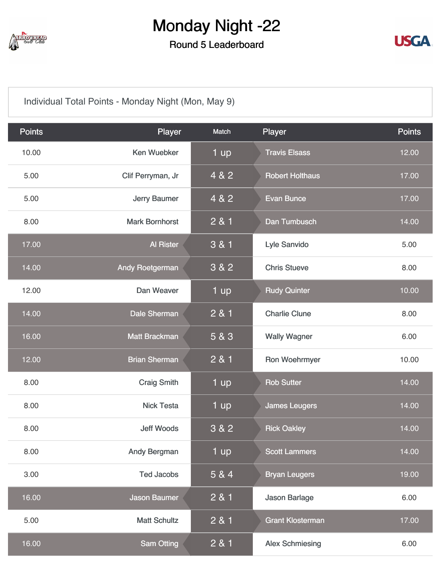

Round 5 Leaderboard



[Individual Total Points - Monday Night \(Mon, May 9\)](https://static.golfgenius.com/v2tournaments/8103117388586689599?called_from=&round_index=5)

| <b>Points</b> | Player                 | Match | Player                  | <b>Points</b> |
|---------------|------------------------|-------|-------------------------|---------------|
| 10.00         | <b>Ken Wuebker</b>     | 1 up  | <b>Travis Elsass</b>    | 12.00         |
| 5.00          | Clif Perryman, Jr      | 4 & 2 | <b>Robert Holthaus</b>  | 17.00         |
| 5.00          | Jerry Baumer           | 4 & 2 | <b>Evan Bunce</b>       | 17.00         |
| 8.00          | <b>Mark Bornhorst</b>  | 2 & 1 | Dan Tumbusch            | 14.00         |
| 17.00         | <b>Al Rister</b>       | 3 & 1 | Lyle Sanvido            | 5.00          |
| 14.00         | <b>Andy Roetgerman</b> | 3 & 2 | <b>Chris Stueve</b>     | 8.00          |
| 12.00         | Dan Weaver             | 1 up  | <b>Rudy Quinter</b>     | 10.00         |
| 14.00         | <b>Dale Sherman</b>    | 2 & 1 | <b>Charlie Clune</b>    | 8.00          |
| 16.00         | <b>Matt Brackman</b>   | 5 & 3 | <b>Wally Wagner</b>     | 6.00          |
| 12.00         | <b>Brian Sherman</b>   | 2 & 1 | Ron Woehrmyer           | 10.00         |
| 8.00          | <b>Craig Smith</b>     | 1 up  | <b>Rob Sutter</b>       | 14.00         |
| 8.00          | <b>Nick Testa</b>      | 1 up  | <b>James Leugers</b>    | 14.00         |
| 8.00          | <b>Jeff Woods</b>      | 3 & 2 | <b>Rick Oakley</b>      | 14.00         |
| 8.00          | <b>Andy Bergman</b>    | 1 up  | <b>Scott Lammers</b>    | 14.00         |
| 3.00          | <b>Ted Jacobs</b>      | 5 & 4 | <b>Bryan Leugers</b>    | 19.00         |
| 16.00         | <b>Jason Baumer</b>    | 2 & 1 | <b>Jason Barlage</b>    | 6.00          |
| 5.00          | <b>Matt Schultz</b>    | 2 & 1 | <b>Grant Klosterman</b> | 17.00         |
| 16.00         | <b>Sam Otting</b>      | 2 & 1 | <b>Alex Schmiesing</b>  | 6.00          |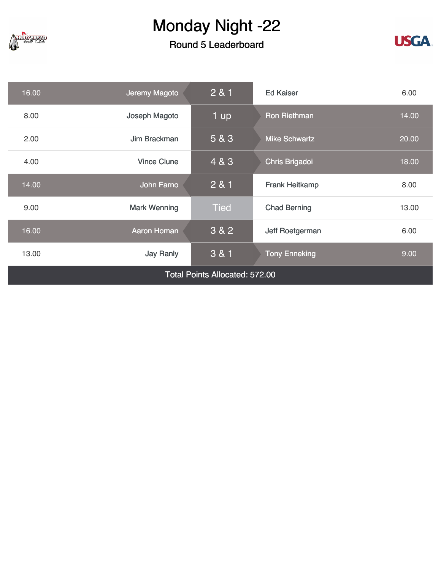

#### Round 5 Leaderboard



| 2 & 1<br>Jeremy Magoto<br>16.00<br><b>Ed Kaiser</b><br>6.00 |                     |                   |                       |       |  |  |
|-------------------------------------------------------------|---------------------|-------------------|-----------------------|-------|--|--|
| 8.00                                                        | Joseph Magoto       | 1 $\overline{up}$ | <b>Ron Riethman</b>   | 14.00 |  |  |
| 2.00                                                        | Jim Brackman        | 5 & 3             | <b>Mike Schwartz</b>  | 20.00 |  |  |
| 4.00                                                        | <b>Vince Clune</b>  | 4 & 3             | <b>Chris Brigadoi</b> | 18.00 |  |  |
| 14.00                                                       | <b>John Farno</b>   | 281               | <b>Frank Heitkamp</b> | 8.00  |  |  |
| 9.00                                                        | <b>Mark Wenning</b> | <b>Tied</b>       | <b>Chad Berning</b>   | 13.00 |  |  |
| 16.00                                                       | <b>Aaron Homan</b>  | 3 & 2             | Jeff Roetgerman       | 6.00  |  |  |
| 13.00                                                       | <b>Jay Ranly</b>    | 3 & 1             | <b>Tony Enneking</b>  | 9.00  |  |  |
| <b>Total Points Allocated: 572.00</b>                       |                     |                   |                       |       |  |  |